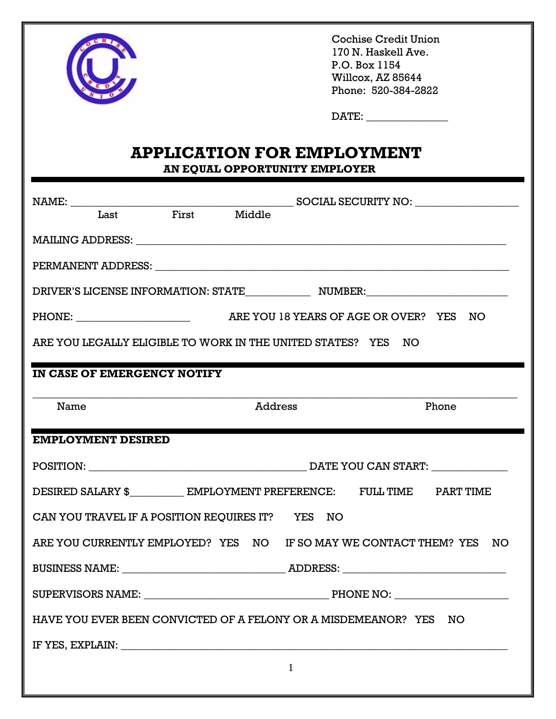

Cochise Credit Union 170 N. Haskell Ave. P.O. Box 1154 Willcox, AZ 85644 Phone: 520-384-2822

| DATE: |  |
|-------|--|
|       |  |

## **APPLICATION FOR EMPLOYMENT**

**AN EQUAL OPPORTUNITY EMPLOYER**

| First Middle<br>Last                                                                                            |                                                                                                                                                                                                                                                                                                                                                                                                                                  |  |  |  |  |
|-----------------------------------------------------------------------------------------------------------------|----------------------------------------------------------------------------------------------------------------------------------------------------------------------------------------------------------------------------------------------------------------------------------------------------------------------------------------------------------------------------------------------------------------------------------|--|--|--|--|
|                                                                                                                 | $\textbf{MAILING ADDRESS:}\footnotesize\begin{picture}(10,10) \label{pic:2} \begin{minipage}[t]{.5cm}{0.4cm} \begin{picture}(10,10) \label{pic:2} \put(0,0){\dashbox{0.5}(10,10){ }} \thicklines \put(0,0){\dashbox{0.5}(10,10){ }} \thicklines \put(0,0){\dashbox{0.5}(10,10){ }} \thicklines \put(0,0){\dashbox{0.5}(10,10){ }} \thicklines \put(0,0){\dashbox{0.5}(10,10){ }} \thicklines \put(0,0){\dashbox{0.5}(10,10){ }}$ |  |  |  |  |
|                                                                                                                 |                                                                                                                                                                                                                                                                                                                                                                                                                                  |  |  |  |  |
|                                                                                                                 |                                                                                                                                                                                                                                                                                                                                                                                                                                  |  |  |  |  |
|                                                                                                                 |                                                                                                                                                                                                                                                                                                                                                                                                                                  |  |  |  |  |
| ARE YOU LEGALLY ELIGIBLE TO WORK IN THE UNITED STATES? YES NO                                                   |                                                                                                                                                                                                                                                                                                                                                                                                                                  |  |  |  |  |
| IN CASE OF EMERGENCY NOTIFY                                                                                     |                                                                                                                                                                                                                                                                                                                                                                                                                                  |  |  |  |  |
| Name                                                                                                            | Phone<br><b>Address</b>                                                                                                                                                                                                                                                                                                                                                                                                          |  |  |  |  |
|                                                                                                                 |                                                                                                                                                                                                                                                                                                                                                                                                                                  |  |  |  |  |
|                                                                                                                 |                                                                                                                                                                                                                                                                                                                                                                                                                                  |  |  |  |  |
| <b>EMPLOYMENT DESIRED</b>                                                                                       |                                                                                                                                                                                                                                                                                                                                                                                                                                  |  |  |  |  |
|                                                                                                                 |                                                                                                                                                                                                                                                                                                                                                                                                                                  |  |  |  |  |
|                                                                                                                 | DESIRED SALARY \$_____________ EMPLOYMENT PREFERENCE: FULL TIME PART TIME                                                                                                                                                                                                                                                                                                                                                        |  |  |  |  |
| CAN YOU TRAVEL IF A POSITION REQUIRES IT? YES NO                                                                |                                                                                                                                                                                                                                                                                                                                                                                                                                  |  |  |  |  |
|                                                                                                                 | ARE YOU CURRENTLY EMPLOYED? YES NO IF SO MAY WE CONTACT THEM? YES NO                                                                                                                                                                                                                                                                                                                                                             |  |  |  |  |
|                                                                                                                 |                                                                                                                                                                                                                                                                                                                                                                                                                                  |  |  |  |  |
| SUPERVISORS NAME:                                                                                               |                                                                                                                                                                                                                                                                                                                                                                                                                                  |  |  |  |  |
|                                                                                                                 | HAVE YOU EVER BEEN CONVICTED OF A FELONY OR A MISDEMEANOR? YES NO                                                                                                                                                                                                                                                                                                                                                                |  |  |  |  |
| IF YES, EXPLAIN: University of the Second Press, and the Second Press, and the Second Press, and the Second Pre |                                                                                                                                                                                                                                                                                                                                                                                                                                  |  |  |  |  |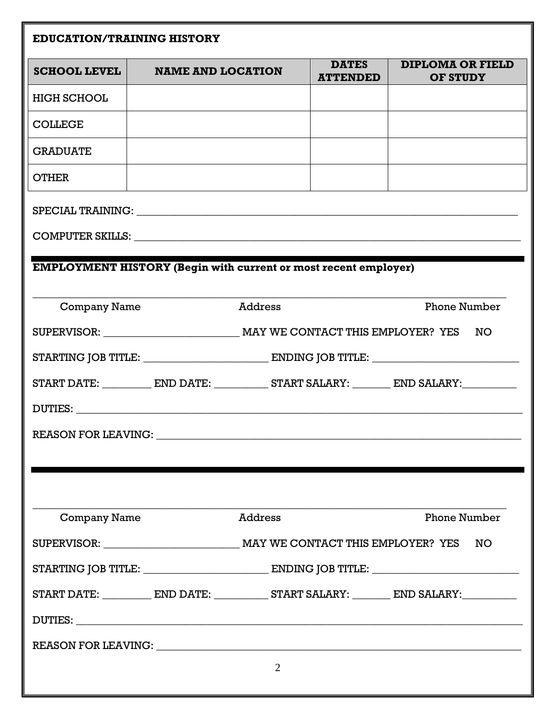|                                                                                                   | <b>EDUCATION/TRAINING HISTORY</b> |                |                                 |                                            |     |  |
|---------------------------------------------------------------------------------------------------|-----------------------------------|----------------|---------------------------------|--------------------------------------------|-----|--|
| <b>SCHOOL LEVEL</b>                                                                               | <b>NAME AND LOCATION</b>          |                | <b>DATES</b><br><b>ATTENDED</b> | <b>DIPLOMA OR FIELD</b><br><b>OF STUDY</b> |     |  |
| <b>HIGH SCHOOL</b>                                                                                |                                   |                |                                 |                                            |     |  |
| <b>COLLEGE</b>                                                                                    |                                   |                |                                 |                                            |     |  |
| <b>GRADUATE</b>                                                                                   |                                   |                |                                 |                                            |     |  |
| <b>OTHER</b>                                                                                      |                                   |                |                                 |                                            |     |  |
|                                                                                                   |                                   |                |                                 |                                            |     |  |
|                                                                                                   |                                   |                |                                 |                                            |     |  |
| <b>EMPLOYMENT HISTORY (Begin with current or most recent employer)</b>                            |                                   |                |                                 |                                            |     |  |
|                                                                                                   |                                   |                |                                 |                                            |     |  |
| <b>Company Name</b>                                                                               |                                   | <b>Address</b> |                                 | <b>Phone Number</b>                        |     |  |
|                                                                                                   |                                   |                |                                 |                                            | NO  |  |
| STARTING JOB TITLE: EXECUTION ENDING JOB TITLE:                                                   |                                   |                |                                 |                                            |     |  |
| START DATE: _____________ END DATE: ____________ START SALARY: _________ END SALARY: ____________ |                                   |                |                                 |                                            |     |  |
|                                                                                                   |                                   |                |                                 |                                            |     |  |
|                                                                                                   |                                   |                |                                 |                                            |     |  |
|                                                                                                   |                                   |                |                                 |                                            |     |  |
|                                                                                                   |                                   |                |                                 |                                            |     |  |
| <b>Company Name</b>                                                                               |                                   | <b>Address</b> |                                 | <b>Phone Number</b>                        |     |  |
|                                                                                                   |                                   |                |                                 |                                            | NO. |  |
| STARTING JOB TITLE: EXECUTION ENDING JOB TITLE: EXECUTION OF TITLE:                               |                                   |                |                                 |                                            |     |  |
| START DATE: ____________ END DATE: ____________ START SALARY: _________ END SALARY: ___________   |                                   |                |                                 |                                            |     |  |
|                                                                                                   |                                   |                |                                 |                                            |     |  |
|                                                                                                   |                                   |                |                                 |                                            |     |  |
|                                                                                                   |                                   | $\overline{2}$ |                                 |                                            |     |  |
|                                                                                                   |                                   |                |                                 |                                            |     |  |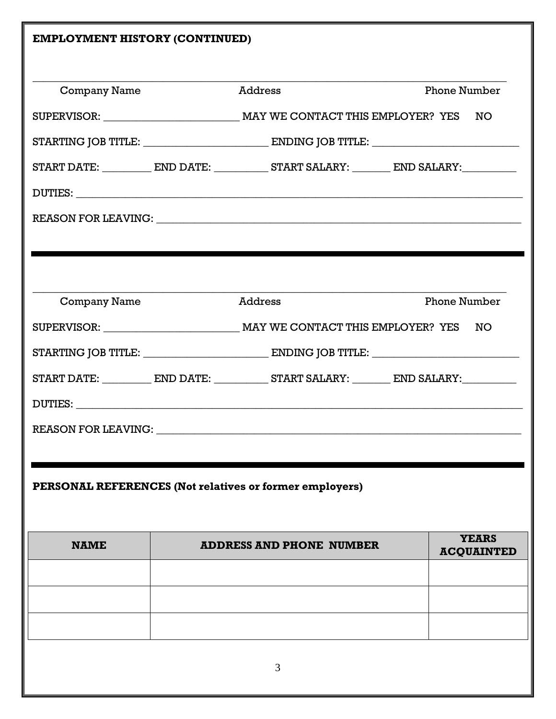| <b>EMPLOYMENT HISTORY (CONTINUED)</b>                   |                |                                                                                                   |                     |                                   |  |  |  |
|---------------------------------------------------------|----------------|---------------------------------------------------------------------------------------------------|---------------------|-----------------------------------|--|--|--|
|                                                         |                |                                                                                                   |                     |                                   |  |  |  |
| <b>Company Name</b>                                     | Address        |                                                                                                   | <b>Phone Number</b> |                                   |  |  |  |
|                                                         |                |                                                                                                   |                     |                                   |  |  |  |
|                                                         |                | STARTING JOB TITLE: EXECUTION ENDING JOB TITLE: EXECUTION OF TITLE:                               |                     |                                   |  |  |  |
|                                                         |                | START DATE: _____________ END DATE: ____________ START SALARY: _________ END SALARY: ____________ |                     |                                   |  |  |  |
|                                                         |                |                                                                                                   |                     |                                   |  |  |  |
|                                                         |                |                                                                                                   |                     |                                   |  |  |  |
|                                                         |                |                                                                                                   |                     |                                   |  |  |  |
|                                                         |                |                                                                                                   |                     |                                   |  |  |  |
|                                                         | <b>Address</b> |                                                                                                   |                     | <b>Phone Number</b>               |  |  |  |
| <b>Company Name</b>                                     |                |                                                                                                   |                     |                                   |  |  |  |
|                                                         |                |                                                                                                   |                     |                                   |  |  |  |
|                                                         |                | STARTING JOB TITLE: EXECUTION ENDING JOB TITLE:                                                   |                     |                                   |  |  |  |
|                                                         |                | START DATE: ____________ END DATE: ____________ START SALARY: _________ END SALARY: ___________   |                     |                                   |  |  |  |
|                                                         |                |                                                                                                   |                     |                                   |  |  |  |
| <b>REASON FOR LEAVING:</b>                              |                |                                                                                                   |                     |                                   |  |  |  |
|                                                         |                |                                                                                                   |                     |                                   |  |  |  |
|                                                         |                |                                                                                                   |                     |                                   |  |  |  |
| PERSONAL REFERENCES (Not relatives or former employers) |                |                                                                                                   |                     |                                   |  |  |  |
|                                                         |                |                                                                                                   |                     |                                   |  |  |  |
| <b>NAME</b>                                             |                | <b>ADDRESS AND PHONE NUMBER</b>                                                                   |                     | <b>YEARS</b><br><b>ACQUAINTED</b> |  |  |  |
|                                                         |                |                                                                                                   |                     |                                   |  |  |  |
|                                                         |                |                                                                                                   |                     |                                   |  |  |  |
|                                                         |                |                                                                                                   |                     |                                   |  |  |  |
|                                                         |                |                                                                                                   |                     |                                   |  |  |  |
|                                                         |                | 3                                                                                                 |                     |                                   |  |  |  |